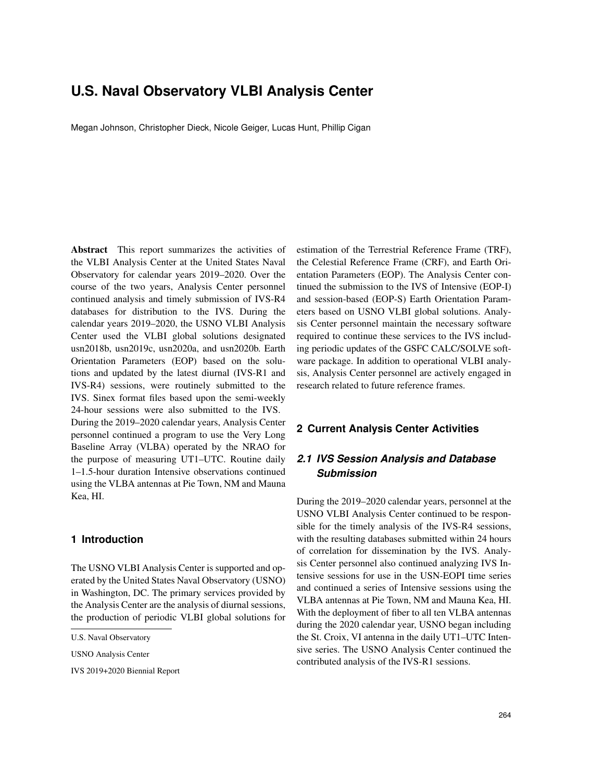# **U.S. Naval Observatory VLBI Analysis Center**

Megan Johnson, Christopher Dieck, Nicole Geiger, Lucas Hunt, Phillip Cigan

Abstract This report summarizes the activities of the VLBI Analysis Center at the United States Naval Observatory for calendar years 2019–2020. Over the course of the two years, Analysis Center personnel continued analysis and timely submission of IVS-R4 databases for distribution to the IVS. During the calendar years 2019–2020, the USNO VLBI Analysis Center used the VLBI global solutions designated usn2018b, usn2019c, usn2020a, and usn2020b. Earth Orientation Parameters (EOP) based on the solutions and updated by the latest diurnal (IVS-R1 and IVS-R4) sessions, were routinely submitted to the IVS. Sinex format files based upon the semi-weekly 24-hour sessions were also submitted to the IVS. During the 2019–2020 calendar years, Analysis Center personnel continued a program to use the Very Long Baseline Array (VLBA) operated by the NRAO for the purpose of measuring UT1–UTC. Routine daily 1–1.5-hour duration Intensive observations continued using the VLBA antennas at Pie Town, NM and Mauna Kea, HI.

#### **1 Introduction**

The USNO VLBI Analysis Center is supported and operated by the United States Naval Observatory (USNO) in Washington, DC. The primary services provided by the Analysis Center are the analysis of diurnal sessions, the production of periodic VLBI global solutions for

IVS 2019+2020 Biennial Report

estimation of the Terrestrial Reference Frame (TRF), the Celestial Reference Frame (CRF), and Earth Orientation Parameters (EOP). The Analysis Center continued the submission to the IVS of Intensive (EOP-I) and session-based (EOP-S) Earth Orientation Parameters based on USNO VLBI global solutions. Analysis Center personnel maintain the necessary software required to continue these services to the IVS including periodic updates of the GSFC CALC/SOLVE software package. In addition to operational VLBI analysis, Analysis Center personnel are actively engaged in research related to future reference frames.

### **2 Current Analysis Center Activities**

# *2.1 IVS Session Analysis and Database Submission*

During the 2019–2020 calendar years, personnel at the USNO VLBI Analysis Center continued to be responsible for the timely analysis of the IVS-R4 sessions, with the resulting databases submitted within 24 hours of correlation for dissemination by the IVS. Analysis Center personnel also continued analyzing IVS Intensive sessions for use in the USN-EOPI time series and continued a series of Intensive sessions using the VLBA antennas at Pie Town, NM and Mauna Kea, HI. With the deployment of fiber to all ten VLBA antennas during the 2020 calendar year, USNO began including the St. Croix, VI antenna in the daily UT1–UTC Intensive series. The USNO Analysis Center continued the contributed analysis of the IVS-R1 sessions.

U.S. Naval Observatory

USNO Analysis Center